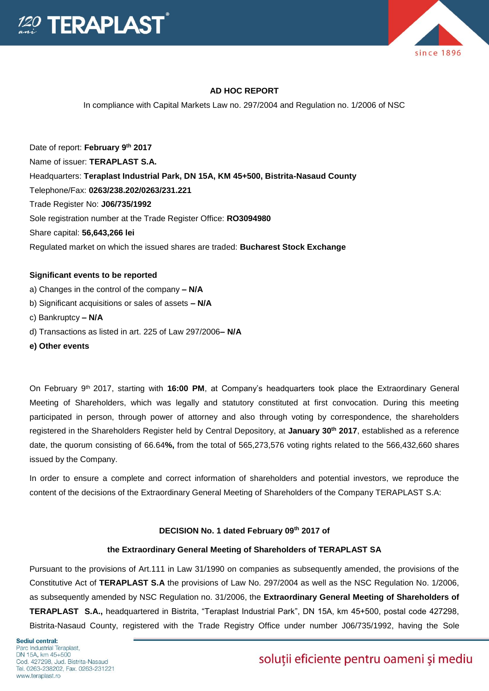



## **AD HOC REPORT**

In compliance with Capital Markets Law no. 297/2004 and Regulation no. 1/2006 of NSC

Date of report: **February 9 th 2017** Name of issuer: **TERAPLAST S.A.**  Headquarters: **Teraplast Industrial Park, DN 15A, KM 45+500, Bistrita-Nasaud County**  Telephone/Fax: **0263/238.202/0263/231.221**  Trade Register No: **J06/735/1992**  Sole registration number at the Trade Register Office: **RO3094980**  Share capital: **56,643,266 lei**  Regulated market on which the issued shares are traded: **Bucharest Stock Exchange** 

#### **Significant events to be reported**

- a) Changes in the control of the company **– N/A**
- b) Significant acquisitions or sales of assets **– N/A**
- c) Bankruptcy **– N/A**
- d) Transactions as listed in art. 225 of Law 297/2006**– N/A**
- **e) Other events**

On February 9<sup>th</sup> 2017, starting with 16:00 PM, at Company's headquarters took place the Extraordinary General Meeting of Shareholders, which was legally and statutory constituted at first convocation. During this meeting participated in person, through power of attorney and also through voting by correspondence, the shareholders registered in the Shareholders Register held by Central Depository, at **January 30th 2017**, established as a reference date, the quorum consisting of 66.64**%,** from the total of 565,273,576 voting rights related to the 566,432,660 shares issued by the Company.

In order to ensure a complete and correct information of shareholders and potential investors, we reproduce the content of the decisions of the Extraordinary General Meeting of Shareholders of the Company TERAPLAST S.A:

## **DECISION No. 1 dated February 09th 2017 of**

## **the Extraordinary General Meeting of Shareholders of TERAPLAST SA**

Pursuant to the provisions of Art.111 in Law 31/1990 on companies as subsequently amended, the provisions of the Constitutive Act of **TERAPLAST S.A** the provisions of Law No. 297/2004 as well as the NSC Regulation No. 1/2006, as subsequently amended by NSC Regulation no. 31/2006, the **Extraordinary General Meeting of Shareholders of TERAPLAST S.A.,** headquartered in Bistrita, "Teraplast Industrial Park", DN 15A, km 45+500, postal code 427298, Bistrita-Nasaud County, registered with the Trade Registry Office under number J06/735/1992, having the Sole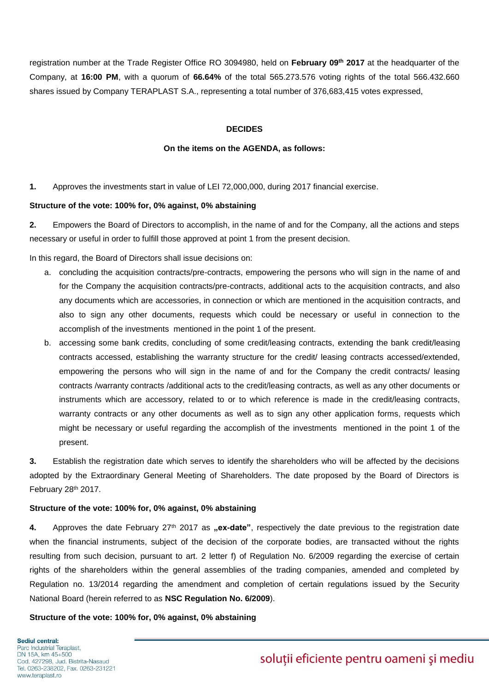registration number at the Trade Register Office RO 3094980, held on **February 09th 2017** at the headquarter of the Company, at **16:00 PM**, with a quorum of **66.64%** of the total 565.273.576 voting rights of the total 566.432.660 shares issued by Company TERAPLAST S.A., representing a total number of 376,683,415 votes expressed,

#### **DECIDES**

#### **On the items on the AGENDA, as follows:**

**1.** Approves the investments start in value of LEI 72,000,000, during 2017 financial exercise.

### **Structure of the vote: 100% for, 0% against, 0% abstaining**

**2.** Empowers the Board of Directors to accomplish, in the name of and for the Company, all the actions and steps necessary or useful in order to fulfill those approved at point 1 from the present decision.

In this regard, the Board of Directors shall issue decisions on:

- a. concluding the acquisition contracts/pre-contracts, empowering the persons who will sign in the name of and for the Company the acquisition contracts/pre-contracts, additional acts to the acquisition contracts, and also any documents which are accessories, in connection or which are mentioned in the acquisition contracts, and also to sign any other documents, requests which could be necessary or useful in connection to the accomplish of the investments mentioned in the point 1 of the present.
- b. accessing some bank credits, concluding of some credit/leasing contracts, extending the bank credit/leasing contracts accessed, establishing the warranty structure for the credit/ leasing contracts accessed/extended, empowering the persons who will sign in the name of and for the Company the credit contracts/ leasing contracts /warranty contracts /additional acts to the credit/leasing contracts, as well as any other documents or instruments which are accessory, related to or to which reference is made in the credit/leasing contracts, warranty contracts or any other documents as well as to sign any other application forms, requests which might be necessary or useful regarding the accomplish of the investments mentioned in the point 1 of the present.

**3.** Establish the registration date which serves to identify the shareholders who will be affected by the decisions adopted by the Extraordinary General Meeting of Shareholders. The date proposed by the Board of Directors is February 28th 2017.

#### **Structure of the vote: 100% for, 0% against, 0% abstaining**

**4.** Approves the date February 27<sup>th</sup> 2017 as **..ex-date**", respectively the date previous to the registration date when the financial instruments, subject of the decision of the corporate bodies, are transacted without the rights resulting from such decision, pursuant to art. 2 letter f) of Regulation No. 6/2009 regarding the exercise of certain rights of the shareholders within the general assemblies of the trading companies, amended and completed by Regulation no. 13/2014 regarding the amendment and completion of certain regulations issued by the Security National Board (herein referred to as **NSC Regulation No. 6/2009**).

## **Structure of the vote: 100% for, 0% against, 0% abstaining**